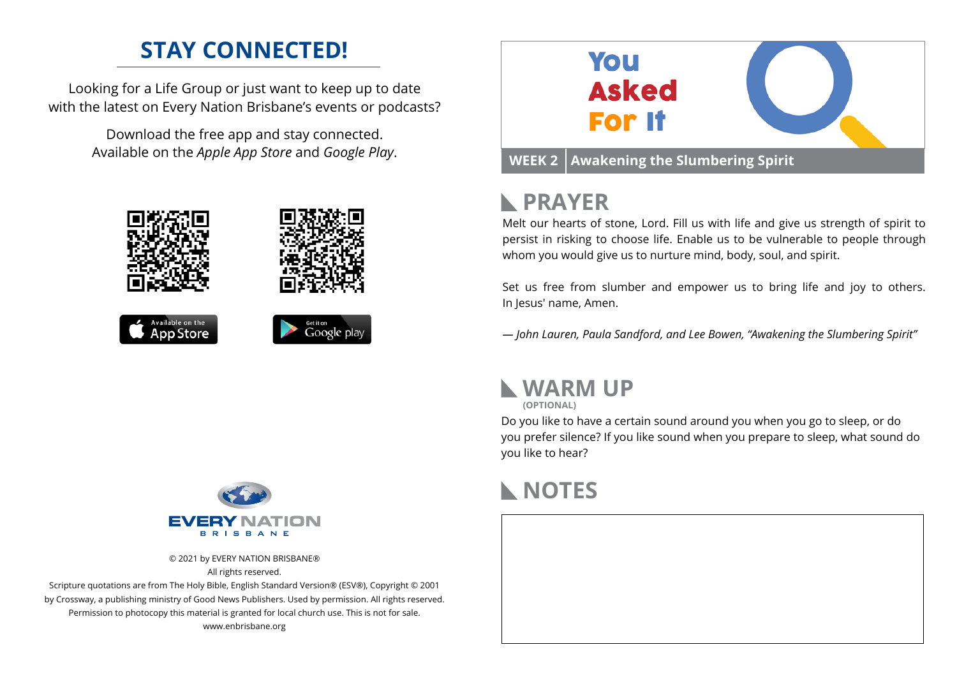## **STAY CONNECTED!**

Looking for a Life Group or just want to keep up to date with the latest on Every Nation Brisbane's events or podcasts?

> Download the free app and stay connected. Available on the *Apple App Store* and *Google Play*.





# **PRAYER**

Melt our hearts of stone, Lord. Fill us with life and give us strength of spirit to persist in risking to choose life. Enable us to be vulnerable to people through whom you would give us to nurture mind, body, soul, and spirit.

Set us free from slumber and empower us to bring life and joy to others. In Jesus' name, Amen.

*— John Lauren, Paula Sandford, and Lee Bowen, "Awakening the Slumbering Spirit"*



**(OPTIONAL)**

Do you like to have a certain sound around you when you go to sleep, or do you prefer silence? If you like sound when you prepare to sleep, what sound do you like to hear?





© 2021 by EVERY NATION BRISBANE® All rights reserved.

Scripture quotations are from The Holy Bible, English Standard Version® (ESV®), Copyright © 2001 by Crossway, a publishing ministry of Good News Publishers. Used by permission. All rights reserved. Permission to photocopy this material is granted for local church use. This is not for sale. www.enbrisbane.org